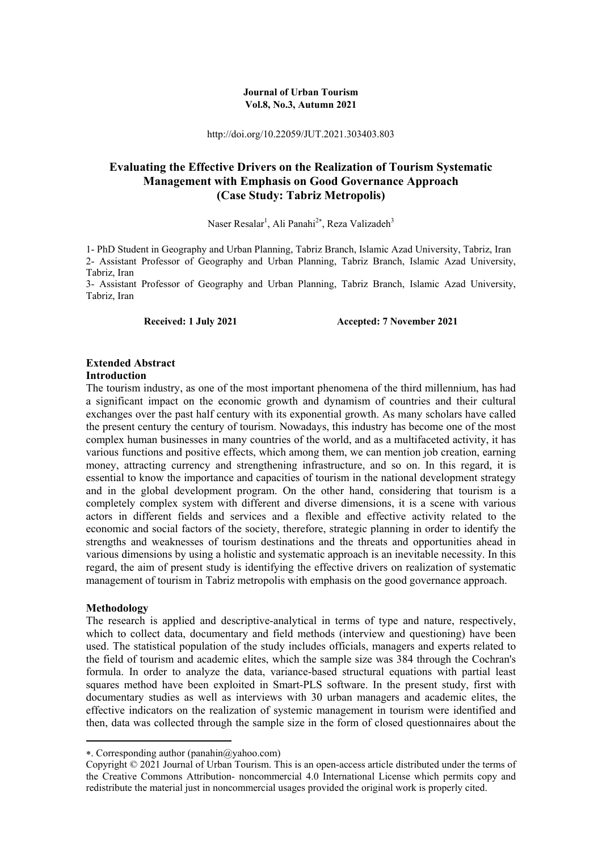#### **Journal of Urban Tourism Vol.8, No.3, Autumn 2021**

http://doi.org/10.22059/JUT.2021.303403.803

## **Evaluating the Effective Drivers on the Realization of Tourism Systematic Management with Emphasis on Good Governance Approach (Case Study: Tabriz Metropolis)**

Naser Resalar<sup>1</sup>, Ali Panahi<sup>2\*</sup>, Reza Valizadeh<sup>3</sup>

1- PhD Student in Geography and Urban Planning, Tabriz Branch, Islamic Azad University, Tabriz, Iran 2- Assistant Professor of Geography and Urban Planning, Tabriz Branch, Islamic Azad University, Tabriz, Iran

3- Assistant Professor of Geography and Urban Planning, Tabriz Branch, Islamic Azad University, Tabriz, Iran

Received: 1 July 2021 **Accepted: 7 November 2021** 

## **Extended Abstract**

#### **Introduction**

The tourism industry, as one of the most important phenomena of the third millennium, has had a significant impact on the economic growth and dynamism of countries and their cultural exchanges over the past half century with its exponential growth. As many scholars have called the present century the century of tourism. Nowadays, this industry has become one of the most complex human businesses in many countries of the world, and as a multifaceted activity, it has various functions and positive effects, which among them, we can mention job creation, earning money, attracting currency and strengthening infrastructure, and so on. In this regard, it is essential to know the importance and capacities of tourism in the national development strategy and in the global development program. On the other hand, considering that tourism is a completely complex system with different and diverse dimensions, it is a scene with various actors in different fields and services and a flexible and effective activity related to the economic and social factors of the society, therefore, strategic planning in order to identify the strengths and weaknesses of tourism destinations and the threats and opportunities ahead in various dimensions by using a holistic and systematic approach is an inevitable necessity. In this regard, the aim of present study is identifying the effective drivers on realization of systematic management of tourism in Tabriz metropolis with emphasis on the good governance approach.

#### **Methodology**

**.** 

The research is applied and descriptive-analytical in terms of type and nature, respectively, which to collect data, documentary and field methods (interview and questioning) have been used. The statistical population of the study includes officials, managers and experts related to the field of tourism and academic elites, which the sample size was 384 through the Cochran's formula. In order to analyze the data, variance-based structural equations with partial least squares method have been exploited in Smart-PLS software. In the present study, first with documentary studies as well as interviews with 30 urban managers and academic elites, the effective indicators on the realization of systemic management in tourism were identified and then, data was collected through the sample size in the form of closed questionnaires about the

<sup>.</sup> Corresponding author (panahin@yahoo.com)

Copyright © 2021 Journal of Urban Tourism. This is an open-access article distributed under the terms of the Creative Commons Attribution- noncommercial 4.0 International License which permits copy and redistribute the material just in noncommercial usages provided the original work is properly cited.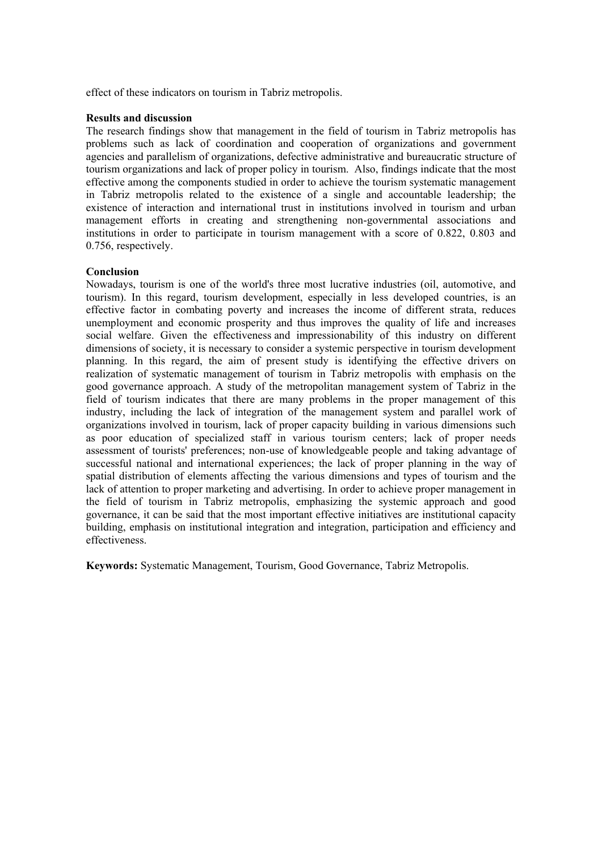effect of these indicators on tourism in Tabriz metropolis.

#### **Results and discussion**

The research findings show that management in the field of tourism in Tabriz metropolis has problems such as lack of coordination and cooperation of organizations and government agencies and parallelism of organizations, defective administrative and bureaucratic structure of tourism organizations and lack of proper policy in tourism. Also, findings indicate that the most effective among the components studied in order to achieve the tourism systematic management in Tabriz metropolis related to the existence of a single and accountable leadership; the existence of interaction and international trust in institutions involved in tourism and urban management efforts in creating and strengthening non-governmental associations and institutions in order to participate in tourism management with a score of 0.822, 0.803 and 0.756, respectively.

#### **Conclusion**

Nowadays, tourism is one of the world's three most lucrative industries (oil, automotive, and tourism). In this regard, tourism development, especially in less developed countries, is an effective factor in combating poverty and increases the income of different strata, reduces unemployment and economic prosperity and thus improves the quality of life and increases social welfare. Given the effectiveness and impressionability of this industry on different dimensions of society, it is necessary to consider a systemic perspective in tourism development planning. In this regard, the aim of present study is identifying the effective drivers on realization of systematic management of tourism in Tabriz metropolis with emphasis on the good governance approach. A study of the metropolitan management system of Tabriz in the field of tourism indicates that there are many problems in the proper management of this industry, including the lack of integration of the management system and parallel work of organizations involved in tourism, lack of proper capacity building in various dimensions such as poor education of specialized staff in various tourism centers; lack of proper needs assessment of tourists' preferences; non-use of knowledgeable people and taking advantage of successful national and international experiences; the lack of proper planning in the way of spatial distribution of elements affecting the various dimensions and types of tourism and the lack of attention to proper marketing and advertising. In order to achieve proper management in the field of tourism in Tabriz metropolis, emphasizing the systemic approach and good governance, it can be said that the most important effective initiatives are institutional capacity building, emphasis on institutional integration and integration, participation and efficiency and effectiveness.

**Keywords:** Systematic Management, Tourism, Good Governance, Tabriz Metropolis.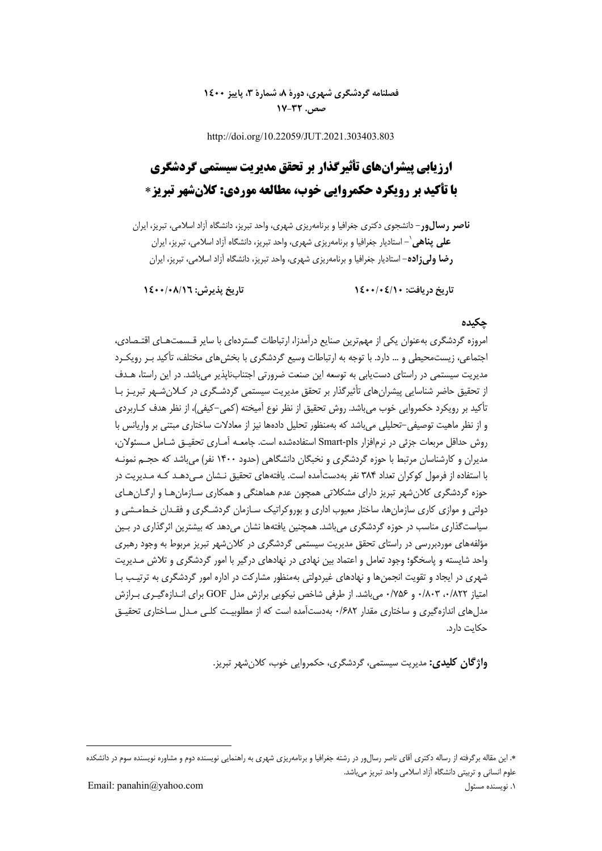## **فصلنامه گردشگري شهري، دورة ،8 شمارة ،3 پاييز 1400 صص. 17-32**

http://doi.org/10.22059/JUT.2021.303403.803

# **ارزيابي پيشرانهاي تأثيرگذار بر تحقق مديريت سيستمي گردشگري با تأكيد بر رويكرد حكمروايي خوب، مطالعه موردي: كلانشهر تبريز**

**ناصر رسالور**- دانشجوي دكتري جغرافيا و برنامهريزي شهري، واحد تبريز، دانشگاه آزاد اسلامي، تبريز، ايران - استاديار جغرافيا و برنامهريزي شهري، واحد تبريز، دانشگاه آزاد اسلامي، تبريز، ايران <sup>1</sup> **علي پناهي رضا وليزاده**- استاديار جغرافيا و برنامهريزي شهري، واحد تبريز، دانشگاه آزاد اسلامي، تبريز، ايران

 **تاريخ دريافت: 1400/04/10 تاريخ پذيرش: 1400/08/16**

## **چكيده**

امروزه گردشگري بهعنوان يكي از مهمترين صنايع درآمدزا، ارتباطات گستردهاي با ساير قـسمتهـاي اقتـصادي، اجتماعي، زيستمحيطي و ... دارد. با توجه به ارتباطات وسيع گردشگري با بخشهاي مختلف، تأكيد بـر رويكـرد مديريت سيستمي در راستاي دستيابي به توسعه اين صنعت ضرورتي اجتنابناپذير ميباشد. در اين راستا، هـدف از تحقيق حاضر شناسايي پيشرانهاي تأثيرگذار بر تحقق مديريت سيستمي گردشـگري در كـلان شـهر تبريـز بـا تأكيد بر رويكرد حكمروايي خوب ميباشد. روش تحقيق از نظر نوع آميخته (كمي-كيفي)، از نظر هدف كـاربردي و از نظر ماهيت توصيفي-تحليلي ميباشد كه بهمنظور تحليل دادهها نيز از معادلات ساختاري مبتني بر واريانس با روش حداقل مربعات جزئي در نرمافزار pls-Smart استفادهشده است. جامعـه آمـاري تحقيـق شـامل مـسئولان، مديران و كارشناسان مرتبط با حوزه گردشگري و نخبگان دانشگاهي (حدود 1400 نفر) ميباشد كه حجـم نمونـه با استفاده از فرمول كوكران تعداد 384 نفر بهدستآمده است. يافتههاي تحقيق نـشان مـيدهـد كـه مـديريت در حوزه گردشگري كلانشهر تبريز داراي مشكلاتي همچون عدم هماهنگي و همكاري سـازمانهـا و ارگـانهـاي دولتي و موازي كاري سازمانها، ساختار معيوب اداري و بوروكراتيك سـازمان گردشـگري و فقـدان خـطمـشي و سياست گذاري مناسب در حوزه گردشگري مي باشد. همچنين يافتهها نشان مي دهد كه بيشترين اثر گذاري در بـين مؤلفههاي موردبررسي در راستاي تحقق مديريت سيستمي گردشگري در كلانشهر تبريز مربوط به وجود رهبري واحد شايسته و پاسخگو؛ وجود تعامل و اعتماد بين نهادي در نهادهاي درگير با امور گردشگري و تلاش مـديريت شهري در ايجاد و تقويت انجمنها و نهادهاي غيردولتي بهمنظور مشاركت در اداره امور گردشگري به ترتيـب بـا امتياز ،0/822 0/803 و 0/756 ميباشد. از طرفي شاخص نيكويي برازش مدل GOF براي انـدازهگيـري بـرازش مدلهاي اندازهگيري و ساختاري مقدار 0/682 بهدستآمده است كه از مطلوبيـت كلـي مـدل سـاختاري تحقيـق حكايت دارد.

**واژگان كليدي:** مديريت سيستمي، گردشگري، حكمروايي خوب، كلانشهر تبريز.

**.** 

<sup>.</sup> اين مقاله برگرفته از رساله دكتري آقاي ناصر رسالور در رشته جغرافيا و برنامهريزي شهري به راهنمايي نويسنده دوم و مشاوره نويسنده سوم در دانشكده علوم انساني و تربيتي دانشگاه آزاد اسلامي واحد تبريز ميباشد.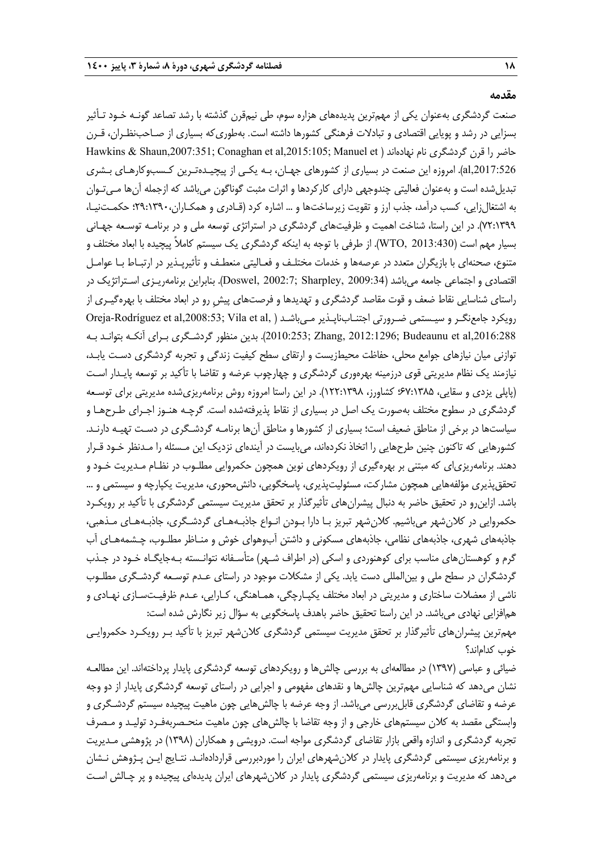#### **مقدمه**

صنعت گردشگري بهعنوان يكي از مهمترين پديدههاي هزاره سوم، طي نيمقرن گذشته با رشد تصاعد گونـه خـود تـأثير بسزايي در رشد و پويايي اقتصادي و تبادلات فرهنگي كشورها داشته است. بهطوريكه بسياري از صـاحبنظـران، قـرن Hawkins & Shaun,2007:351; Conaghan et al,2015:105; Manuel et ) نهادهاند نام گردشگري قرن را حاضر ,2017:526al(. امروزه اين صنعت در بسياري از كشورهاي جهـان، بـه يكـي از پيچيـدهتـرين كـسبوكارهـاي بـشري تبديلشده است و بهعنوان فعاليتي چندوجهي داراي كاركردها و اثرات مثبت گوناگون ميباشد كه ازجمله آنها مـيتـوان به اشتغالزايي، كسب درآمد، جذب ارز و تقويت زيرساختها و ... اشاره كرد (قـادري و همكـاران29:1390،؛ حكمـتنيـا، 72:1399). در اين راستا، شناخت اهميت و ظرفيتهاي گردشگري در استراتژي توسعه ملي و در برنامـه توسـعه جهـاني بسيار مهم است (2013:430 ,WTO(. از طرفي با توجه به اينكه گردشگري يك سيستم كاملاً پيچيده با ابعاد مختلف و متنوع، صحنهاي با بازيگران متعدد در عرصهها و خدمات مختلـف و فعـاليتي منعطـف و تأثيرپـذير در ارتبـاط بـا عوامـل اقتصادي و اجتماعي جامعه ميباشد (2009:34 ,Sharpley; 2002:7 ,Doswel(. بنابراين برنامهريـزي اسـتراتژيك در راستاي شناسايي نقاط ضعف و قوت مقاصد گردشگري و تهديدها و فرصتهاي پيشِ رو در ابعاد مختلف با بهرهگيـري از رويكرد جامعنگـر و سيـستمي ضـرورتي اجتنـابناپـذير مـي باشـد ( ,Oreja-Rodríguez et al,2008:53; Vila et al ,2016:288al et Budeaunu; 2012:1296 ,Zhang; 2010:253(. بدين منظور گردشـگري بـراي آنكـه بتوانـد بـه توازني ميان نيازهاي جوامع محلي، حفاظت محيطزيست و ارتقاي سطح كيفيت زندگي و تجربه گردشگري دسـت يابـد، نيازمند يك نظام مديريتي قوي درزمينه بهرهوري گردشگري و چهارچوب عرضه و تقاضا با تأكيد بر توسعه پايـدار اسـت (پاپلي يزدي و سقايي، 67:1385؛ كشاورز، 122:1398). در اين راستا امروزه روش برنامهريزيشده مديريتي براي توسـعه گردشگري در سطوح مختلف بهصورت يك اصل در بسياري از نقاط پذيرفتهشده است. گرچـه هنـوز اجـراي طـرحهـا و سياستها در برخي از مناطق ضعيف است؛ بسياري از كشورها و مناطق آنها برنامـه گردشـگري در دسـت تهيـه دارنـد. كشورهايي كه تاكنون چنين طرحهايي را اتخاذ نكردهاند، ميبايست در آيندهاي نزديك اين مـسئله را مـدنظر خـود قـرار دهند. برنامهريزياي كه مبتني بر بهرهگيري از رويكردهاي نوين همچون حكمروايي مطلـوب در نظـام مـديريت خـود و تحقق پذيري مؤلفههايي همچون مشاركت، مسئوليتپذيري، پاسخگويي، دانش محوري، مديريت يكپارچه و سيستمي و ... باشد. ازاينرو در تحقيق حاضر به دنبال پيشرانهاي تأثيرگذار بر تحقق مديريت سيستمي گردشگري با تأكيد ب ر رويكـرد حكمروايي در كلانشهر ميباشيم. كلانشهر تبريز بـا دارا بـودن انـواع جاذبـه هـاي گردشـگري، جاذبـههـاي مـذهبي، جاذبههاي شهري، جاذبههاي نظامي، جاذبههاي مسكوني و داشتن آبوهواي خوش و منـاظر مطلـوب، چـشمههـاي آب گرم و كوهستانهاي مناسب براي كوهنوردي و اسكي (در اطراف شـهر) متأسـفانه نتوانـسته بـهجايگـاه خـود در جـذب گردشگران در سطح ملي و بينالمللي دست يابد. يكي از مشكلات موجود در راستاي عـدم توسـعه گردشـگري مطلـوب ناشي از معضلات ساختاري و مديريتي در ابعاد مختلف يكپـارچگي، همـاهنگي، كـارايي، عـدم ظرفيـت سـازي نهـادي و همافزايي نهادي ميباشد. در اين راستا تحقيق حاضر باهدف پاسخگويي به سؤال زير نگارش شده است: مهمترين پيشرانهاي تأثيرگذار بر تحقق مديريت سيستمي گردشگري كلانشهر تبريز با تأكيد بـر رويكـرد حكمروايـي

خوب كداماند؟

ضيائي و عباسي (1397) در مطالعهاي به بررسي چالشها و رويكردهاي توسعه گردشگري پايدار پرداختهاند. اين مطالعـه نشان ميدهد كه شناسايي مهمترين چالشها و نقدهاي مفهومي و اجرايي در راستاي توسعه گردشگري پايدار از دو وجه عرضه و تقاضاي گردشگري قابلبررسي ميباشد. از وجه عرضه با چالش هايي چون ماهيت پيچيده سيستم گردشـگري و وابستگي مقصد به كلان سيستمهاي خارجي و از وجه تقاضا با چالشهاي چون ماهيت منحـصربهفـرد توليـد و مـصرف تجربه گردشگري و اندازه واقعي بازار تقاضاي گردشگري مواجه است. درويشي و همكاران (1398) در پژوهشي مـديريت و برنامهريزي سيستمي گردشگري پايدار در كلانشهرهاي ايران را موردبررسي قراردادهانـد. نتـايج ايـن پـژوهش نـشان ميدهد كه مديريت و برنامهريزي سيستمي گردشگري پايدار در كلانشهرهاي ايران پديدهاي پيچيده و پر چـالش اسـت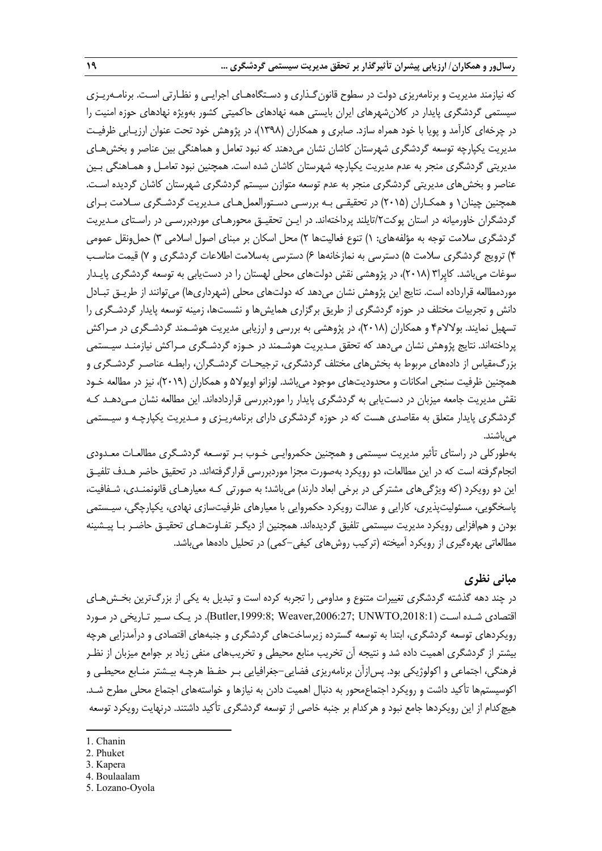كه نيازمند مديريت و برنامهريزي دولت در سطوح قانونگـذاري و دسـتگاههـاي اجرايـي و نظـارتي اسـت. برنامـهريـزي سيستمي گردشگري پايدار در كلانشهرهاي ايران بايستي همه نهادهاي حاكميتي كشور بهويژه نهادهاي حوزه امنيت را در چرخهاي كارآمد و پويا با خود همراه سازد. صابري و همكاران (1398)، در پژوهش خود تحت عنوان ارزيـابي ظرفيـت مديريت يكپارچه توسعه گردشگري شهرستان كاشان نشان ميدهند كه نبود تعامل و هماهنگي بين عناصر و بخشهـاي مديريتي گردشگري منجر به عدم مديريت يكپارچه شهرستان كاشان شده است . همچنين نبود تعامـل و همـاهنگي بـين عناصر و بخشهاي مديريتي گردشگري منجر به عدم توسعه متوازن سيستم گردشگري شهرستان كاشان گرديده اسـت. همچنين چينان1 و همكـاران (2015) در تحقيقـي بـه بررسـي دسـتورالعملهـاي مـديريت گردشـگري سـلامت بـراي گردشگران خاورميانه در استان پوكت/2تايلند پرداختهاند. در ايـن تحقيـق محورهـاي موردبررسـي در راسـتاي مـديريت گردشگري سلامت توجه به مؤلفههاي: ١) تنوع فعاليتها ٢) محل اسكان بر مبناي اصول اسلامي ٣) حمل ونقل عمومي 4) ترويج گردشگري سلامت 5) دسترسي به نمازخانهها 6) دسترسي بهسلامت اطلاعات گردشگري و 7) قيمت مناسـب سوغات ميباشد. كاپِرا3 (2018)، در پژوهشي نقش دولتهاي محلي لهستان را در دستيابي به توسعه گردشگري پايـدار موردمطالعه قرارداده است. نتايج اين پژوهش نشان ميدهد كه دولتهاي محلي (شهرداريها) ميتوانند از طريـق تبـادل دانش و تجربيات مختلف در حوزه گردشگري از طريق برگزاري همايش ها و نشستها، زمينه توسعه پايدار گردشـگري را تسهيل نمايند. بولالام4 و همكاران (2018)، در پژوهشي به بررسي و ارزيابي مديريت هوشـمند گردشـگري در مـراكش پرداختهاند. نتايج پژوهش نشان ميدهد كه تحقق مـديريت هوشـمند در حـوزه گردشـگري مـراكش نيازمنـد سيـستمي بزرگمقياس از دادههاي مربوط به بخشهاي مختلف گردشگري، ترجيحـات گردشـگران، رابطـه عناصـر گردشـگري و همچنين ظرفيت سنجي امكانات و محدوديتهاي موجود ميباشد. لوزانو اويولا5 و همكاران (2019)، نيز در مطالعه خـود نقش مديريت جامعه ميزبان در دستيابي به گردشگري پايدار را موردبررسي قراردادهاند. اين مطالعه نشان مـيدهـد كـه گردشگري پايدار متعلق به مقاصدي هست كه در حوزه گردشگري داراي برنامهريـزي و مـديريت يكپارچـه و سيـستمي ميباشند.

بهطوركلي در راستاي تأثير مديريت سيستمي و همچنين حكمروايـي خـوب بـر توسـعه گردشـگري مطالعـات معـدودي انجامگرفته است كه در اين مطالعات، دو رويكرد بهصورت مجزا موردبررسي قرارگرفتهاند. در تحقيق حاضر هـدف تلفيـق اين دو رويكرد (كه ويژگيهاي مشتركي در برخي ابعاد دارند) ميباشد؛ به صورتي كـه معيارهـاي قانونمنـدي، شـفافيت، پاسخگويي، مسئوليتپذيري، كارايي و عدالت رويكرد حكمروايي با معيارهاي ظرفيتسازي نهادي، يكپارچگي، سيـستمي بودن و همافزايي رويكرد مديريت سيستمي تلفيق گرديدهاند. همچنين از ديگـر تفـاوتهـاي تحقيـق حاضـر بـا پيـشينه مطالعاتي بهرهگيري از رويكرد آميخته (تركيب روشهاي كيفي-كمي) در تحليل دادهها ميباشد.

## **مباني نظري**

در چند دهه گذشته گردشگري تغييرات متنوع و مداومي را تجربه كرده است و تبديل به يكي از بزرگ ترين بخـشهـاي اقتصادي شـده اسـت (,2018:1UNWTO; ,2006:27Weaver; ,1999:8Butler(. در يـك سـير تـاريخي در مـورد رويكردهاي توسعه گردشگري، ابتدا به توسعه گسترده زيرساختهاي گردشگري و جنبههاي اقتصادي و درآمدزايي هرچه بيشتر از گردشگري اهميت داده شد و نتيجه آن تخريب منابع محيطي و تخريبهاي منفي زياد بر جوامع ميزبان از نظـر فرهنگي، اجتماعي و اكولوژيكي بود. پسازآن برنامهريزي فضايي-جغرافيايي بـر حفـظ هرچـه بيـشتر منـابع محيطـي و اكوسيستمها تأكيد داشت و رويكرد اجتماعمحور به دنبال اهميت دادن به نيازها و خواستههاي اجتماع محلي مطرح شـد. هيچكدام از اين رويكردها جامع نبود و هركدام بر جنبه خاصي از توسعه گردشگري تأكيد داشتند. درنهايت رويكرد توسعه

**.** 

- 2. Phuket
- 3. Kapera
- 4. Boulaalam
- 5. Lozano-Oyola

<sup>1.</sup> Chanin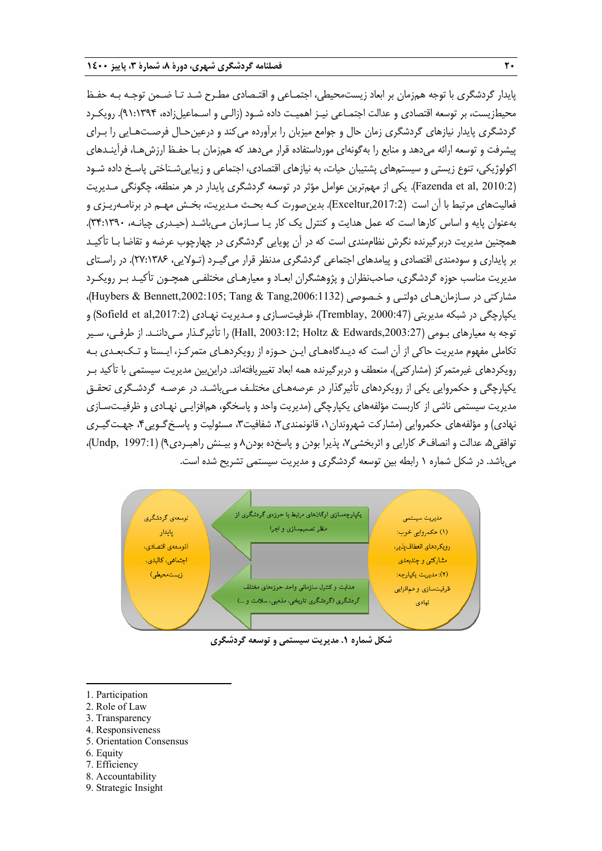پايدار گردشگري با توجه همزمان بر ابعاد زيستمحيطي، اجتمـاعي و اقتـصادي مطـرح شـد تـا ضـمن توجـه بـه حفـظ محيطزيست، بر توسعه اقتصادي و عدالت اجتمـاعي نيـز اهميـت داده شـود (زالـي و اسـماعيلزاده، 91:1394). رويكـرد گردشگري پايدار نيازهاي گردشگري زمان حال و جوامع ميزبان را برآورده ميكند و درعينحـال فرصـتهـايي را بـراي پيشرفت و توسعه ارائه مي دهد و منابع را بهگونهاي مورداستفاده قرار مي دهد كه همزمان بـا حفـظ ارزش هـا، فرآينـدهاي اكولوژيكي، تنوع زيستي و سيستمهاي پشتيبان حيات، به نيازهاي اقتصادي، اجتماعي و زيباييشـناختي پاسـخ داده شـود (2010:2 Fazenda et al,). يكي از مهمترين عوامل مؤثر در توسعه گردشگري پايدار در هر منطقه، چگونگي مـديريت فعاليتهاي مرتبط با آن است (,2017:2Exceltur(. بدينصورت كـه بحـث مـديريت، بخـش مهـم در برنامـهريـزي و بهعنوان پايه و اساس كارها است كه عمل هدايت و كنترل يك كار يـا سـازمان مـيباشـد (حيـدري چيانـه، 34:1390). همچنين مديريت دربرگيرنده نگرش نظاممندي است كه در آن پويايي گردشگري در چهارچوب عرضه و تقاضا بـا تأكيـد بر پايداري و سودمندي اقتصادي و پيامدهاي اجتماعي گردشگري مدنظر قرار ميگيـرد (تـولايي، 27:1386). در راسـتاي مديريت مناسب حوزه گردشگري، صاحبنظران و پژوهشگران ابعـاد و معيارهـاي مختلفـي همچـون تأكيـد بـر رويكـرد مشاركتي در سـازمان هـاي دولتـي و خـصوصي (Huybers & Bennett,2002:105; Tang & Tang,2006:1132)، يكپارچگي در شبكه مديريتي (2000:47 ,Tremblay, 2000)، ظرفيتسـازي و مـديريت نهـادي (Sofield et al,2017:2) و توجه به معيارهاي بـومي (,2003:27Edwards & Holtz; 2003:12 ,Hall (را تأثيرگـذار مـيداننـد. از طرفـي، سـير تكاملي مفهوم مديريت حاكي از آن است كه ديـدگاههـاي ايـن حـوزه از رويكردهـاي متمركـز، ايـستا و تـكبعـدي بـه رويكردهاي غيرمتمركز (مشاركتي)، منعطف و دربرگيرنده همه ابعاد تغييريافتهاند. دراينبين مديريت سيستمي با تأكيد بـر يكپارچگي و حكمروايي يكي از رويكردهاي تأثيرگذار در عرصههـاي مختلـف مـيباشـد. در عرصـه گردشـگري تحقـق مديريت سيستمي ناشي از كاربست مؤلفههاي يكپارچگي (مديريت واحد و پاسخگو، همافزايـي نهـادي و ظرفيـتسـازي نهادي) و مؤلفههاي حكمروايي (مشاركت شهروندان،1 قانونمندي،2 شفافيت،3 مسئوليت و پاسـخگـويي،4 جهـتگيـري توافقي۵، عدالت و انصاف۶ كارايي و اثربخشي۷، پذيرا بودن و پاسخده بودن۸ و بيـنش راهبـردي۹) (1997:1 ,Undp, 1997:1)، ميباشد. در شكل شماره 1 رابطه بين توسعه گردشگري و مديريت سيستمي تشريح شده است.



**شكل شماره .1 مديريت سيستمي <sup>و</sup> توسعه گردشگري**

- 1. Participation
- 2. Role of Law
- 3. Transparency
- 4. Responsiveness
- 5. Orientation Consensus
- 6. Equity

1

- 7. Efficiency
- 8. Accountability
- 9. Strategic Insight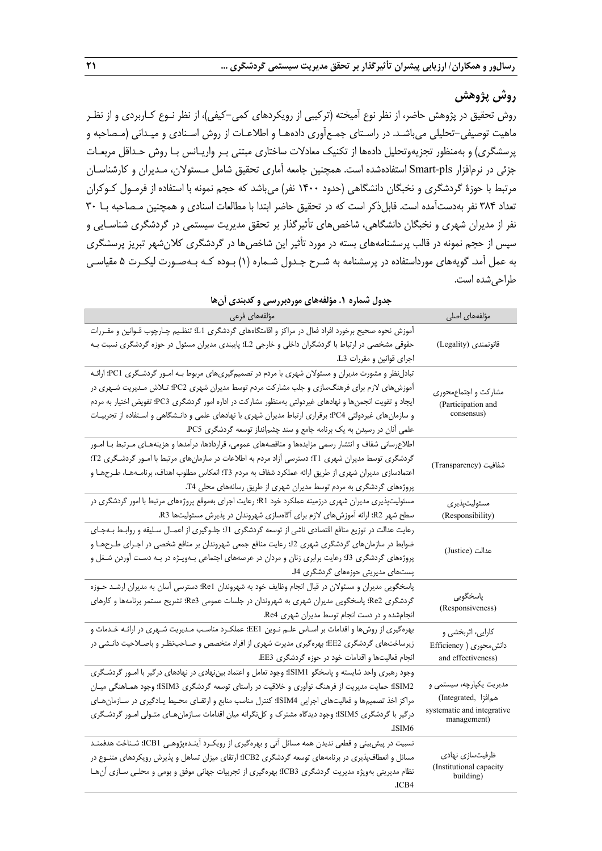## **روش پژوهش**

روش تحقيق در پژوهش حاضر، از نظر نوع آميخته (تركيبي از رويكردهاي كمي-كيفي)، از نظر نـوع كـاربردي و از نظـر ماهيت توصيفي-تحليلي ميباشـد. در راسـتاي جمـعآوري دادههـا و اطلاعـات از روش اسـنادي و ميـداني (مـصاحبه و پرسشگري) و بهمنظور تجزيهوتحليل دادهها از تكنيك معادلات ساختاري مبتني بـر واريـانس بـا روش حـداقل مربعـات جزئي در نرمافزار pls-Smart استفادهشده است. همچنين جامعه آماري تحقيق شامل مـسئولان، مـديران و كارشناسـان مرتبط با حوزة گردشگري و نخبگان دانشگاهي (حدود 1400 نفر) ميباشد كه حجم نمونه با استفاده از فرمـول كـوكران تعداد 384 نفر بهدستآمده است. قابلذكر است كه در تحقيق حاضر ابتدا با مطالعات اسنادي و همچنين مـصاحبه بـا 30 نفر از مديران شهري و نخبگان دانشگاهي، شاخصهاي تأثيرگذار بر تحقق مديريت سيستمي در گردشگري شناسـايي و سپس از حجم نمونه در قالب پرسشنامههاي بسته در مورد تأثير اين شاخصها در گردشگري كلانشهر تبريز پرسشگري به عمل آمد. گويههاي مورداستفاده در پرسشنامه به شـرح جـدول شـماره (1) بـوده كـه بـهصـورت ليكـرت 5 مقياسـي طراحيشده است.

| بعوت فليسرد المستوجب للتق بتورجبرز فليعي والمعبثتين المال<br>مؤلفههای فرعی                                      | مؤلفههای اصلی                             |  |  |  |
|-----------------------------------------------------------------------------------------------------------------|-------------------------------------------|--|--|--|
| آموزش نحوه صحیح برخورد افراد فعال در مراکز و اقامتگاههای گردشگری I.1؛ تنظـیم چـارچوب قـوانین و مقـررات          |                                           |  |  |  |
| حقوقی مشخصی در ارتباط با گردشگران داخلی و خارجی L2؛ پایبندی مدیران مسئول در حوزه گردشگری نسبت بـه               | قانونمندى (Legality)                      |  |  |  |
| اجرای قوانین و مقررات L3.                                                                                       |                                           |  |  |  |
| تبادلنظر و مشورت مدیران و مسئولان شهری با مردم در تصمیمگیریهای مربوط بـه امـور گردشـگری PC1؛ ارائـه             |                                           |  |  |  |
| آموزشهای لازم برای فرهنگسازی و جلب مشارکت مردم توسط مدیران شهری PC2؛ تـلاش مـدیریت شـهری در                     | مشاركت و اجتماعمحوري                      |  |  |  |
| ایجاد و تقویت انجمنها و نهادهای غیردولتی بهمنظور مشارکت در اداره امور گردشگری PC3؛ تفویض اختیار به مردم         | (Participation and<br>consensus)          |  |  |  |
| و سازمانهای غیردولتی PC4؛ برقراری ارتباط مدیران شهری با نهادهای علمی و دانـشگاهی و اسـتفاده از تجربیـات         |                                           |  |  |  |
| علمی آنان در رسیدن به یک برنامه جامع و سند چشم نداز توسعه گردشگری PC5.                                          |                                           |  |  |  |
| اطلاعرسانی شفاف و انتشار رسمی مزایدهها و مناقصههای عمومی، قراردادها، درآمدها و هزینههـای مـرتبط بـا امـور       |                                           |  |  |  |
| گردشگری توسط مدیران شهری T1؛ دسترسی آزاد مردم به اطلاعات در سازمانهای مرتبط با امـور گردشـگری T2؛               | شفافيت (Transparency)                     |  |  |  |
| اعتمادسازی مدیران شهری از طریق ارائه عملکرد شفاف به مردم T3؛ انعکاس مطلوب اهداف، برنامـههـا، طـرحهـا و          |                                           |  |  |  |
| پروژههای گردشگری به مردم توسط مدیران شهری از طریق رسانههای محلی T4.                                             |                                           |  |  |  |
| مسئولیتپذیری مدیران شهری درزمینه عملکرد خود R1؛ رعایت اجرای بهموقع پروژههای مرتبط با امور گردشگری در            | مسئوليتپذيرى                              |  |  |  |
| سطح شهر R2؛ ارائه آموزشهای لازم برای آگاهسازی شهروندان در پذیرش مسئولیتها R3.                                   | (Responsibility)                          |  |  |  |
| رعایت عدالت در توزیع منافع اقتصادی ناشی از توسعه گردشگری J!؛ جلوگیری از اعمـال سـلیقه و روابـط بـهجـای          |                                           |  |  |  |
| ضوابط در سازمانهای گردشگری شهری 12؛ رعایت منافع جمعی شهروندان بر منافع شخصی در اجـرای طـرحهـا و                 | عدالت (Justice)                           |  |  |  |
| پروژههای گردشگری <sup>13</sup> ؛ رعایت برابری زنان و مردان در عرصههای اجتماعی بـهویـژه در بـه دسـت آوردن شـغل و |                                           |  |  |  |
| پستهای مدیریتی حوزههای گردشگری J4.                                                                              |                                           |  |  |  |
| پاسخگویی مدیران و مسئولان در قبال انجام وظایف خود به شهروندان Re1؛ دسترسی آسان به مدیران ارشـد حـوزه            |                                           |  |  |  |
| گردشگری Re2؛ پاسخگویی مدیران شهری به شهروندان در جلسات عمومی Re3؛ تشریح مستمر برنامهها و کارهای                 | پاسخگویی                                  |  |  |  |
| انجام شده و در دست انجام توسط مدیران شهری Re4.                                                                  | (Responsiveness)                          |  |  |  |
| بهرهگیری از روشها و اقدامات بر اسـاس علـم نـوین EE1؛ عملکـرد مناسـب مـدیریت شـهری در ارائـه خـدمات و            | كارايي، اثربخشي و                         |  |  |  |
| زیرساختهای گردشگری EE2؛ بهرهگیری مدیرت شهری از افراد متخصص و صـاحب $نظـر و باصـلاحیت دانـشی در$                 | دانش محوری ( Efficiency                   |  |  |  |
| انجام فعالیتها و اقدامات خود در حوزه گردشگری EE3.                                                               | and effectiveness)                        |  |  |  |
| وجود رهبری واحد شایسته و پاسخگو SIM1؛ وجود تعامل و اعتماد بین¿هادی در نهادهای درگیر با امـور گردشـگری           |                                           |  |  |  |
| ISIM2؛ حمایت مدیریت از فرهنگ نوآوری و خلاقیت در راستای توسعه گردشگری ISIM3؛ وجود همـاهنگی میـان                 | مدیریت یکپارچه، سیستمی و                  |  |  |  |
| مراکز اخذ تصمیمها و فعالیتهای اجرایی SIM4؛ کنترل مناسب منابع و ارتقـای محـیط یـادگیری در سـازمانِهـای           | هم فزا, Integrated)                       |  |  |  |
| درگیر با گردشگری ISIM5؛ وجود دیدگاه مشترک و کلنگرانه میان اقدامات سـازمانهـای متـولی امـور گردشـگری             | systematic and integrative<br>management) |  |  |  |
| JSIM6                                                                                                           |                                           |  |  |  |
| نسبیت در پیش بینی و قطعی ندیدن همه مسائل آتی و بهرهگیری از رویکـرد آینـدهپژوهـی CB1!؛ شـناخت هدفمنـد            |                                           |  |  |  |
| مسائل و انعطافپذیری در برنامههای توسعه گردشگری ICB2؛ ارتقای میزان تساهل و پذیرش رویکردهای متنــوع در            | ظرفیتسازی نهادی                           |  |  |  |
| نظام مدیریتی بهویژه مدیریت گردشگری ICB3؛ بهرهگیری از تجربیات جهانی موفق و بومی و محلـی سـازی آنهـا              | (Institutional capacity<br>building)      |  |  |  |
| .ICB4                                                                                                           |                                           |  |  |  |

**جدول شماره .1 مؤلفههاي موردبررسي و كدبندي آنها**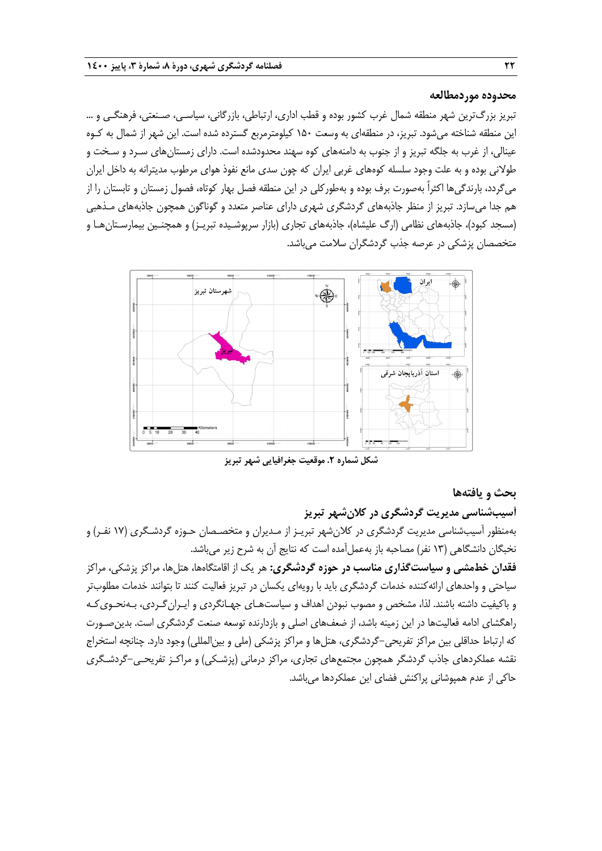#### **محدوده موردمطالعه**

تبريز بزرگترين شهر منطقه شمال غرب كشور بوده و قطب اداري، ارتباطي، بازرگاني، سياسـي، صـنعتي، فرهنگـي و … اين منطقه شناخته ميشود. تبريز، در منطقهاي به وسعت 150 كيلومترمربع گسترده شده است. اين شهر از شمال به كـوه عينالي، از غرب به جلگه تبريز و از جنوب به دامنههاي كوه سهند محدودشده است. داراي زمستانهاي سـرد و سـخت و طولاني بوده و به علت وجود سلسله كوههاي غربي ايران كه چون سدي مانع نفوذ هواي مرطوب مديترانه به داخل ايران ميگردد، بارندگيها اكثراً بهصورت برف بوده و بهطوركلي در اين منطقه فصل بهار كوتاه، فصول زمستان و تابستان را از هم جدا ميسازد. تبريز از منظر جاذبههاي گردشگري شهري داراي عناصر متعدد و گوناگون همچون جاذبههاي مـذهبي (مسجد كبود)، جاذبههاي نظامي (ارگ عليشاه)، جاذبههاي تجاري (بازار سرپوشـيده تبريـز) و همچنـين بيمارسـتانهـا و متخصصان پزشكي در عرصه جذب گردشگران سلامت ميباشد.



**شكل شماره .2 موقعيت جغرافيايي شهر تبريز**

#### **بحث و يافتهها**

**آسيبشناسي مديريت گردشگري در كلانشهر تبريز**  بهمنظور آسيبشناسي مديريت گردشگري در كلانشهر تبريـز از مـديران و متخصـصان حـوزه گردشـگري (17 نفـر) و نخبگان دانشگاهي (13 نفر) مصاحبه باز بهعملآمده است كه نتايج آن به شرح زير ميباشد.

**فقدان خطمشي و سياستگذاري مناسب در حوزه گردشگري:** هر يك از اقامتگاهها، هتلها، مراكز پزشكي، مراكز سياحتي و واحدهاي ارائهكننده خدمات گردشگري بايد با رويهاي يكسان در تبريز فعاليت كنند تا بتوانند خدمات مطلوبتر و باكيفيت داشته باشند. لذا، مشخص و مصوب نبودن اهداف و سياستهـاي جهـانگردي و ايـرانگـردي، بـهنحـويكـه راهگشاي ادامه فعاليتها در اين زمينه باشد، از ضعفهاي اصلي و بازدارنده توسعه صنعت گردشگري است. بدينصـورت كه ارتباط حداقلي بين مراكز تفريحي-گردشگري، هتلها و مراكز پزشكي (ملي و بينالمللي) وجود دارد. چنانچه استخراج نقشه عملكردهاي جاذب گردشگر همچون مجتمعهاي تجاري، مراكز درماني (پزشـكي) و مراكـز تفريحـي-گردشـگري حاكي از عدم همپوشاني پراكنش فضاي اين عملكردها ميباشد.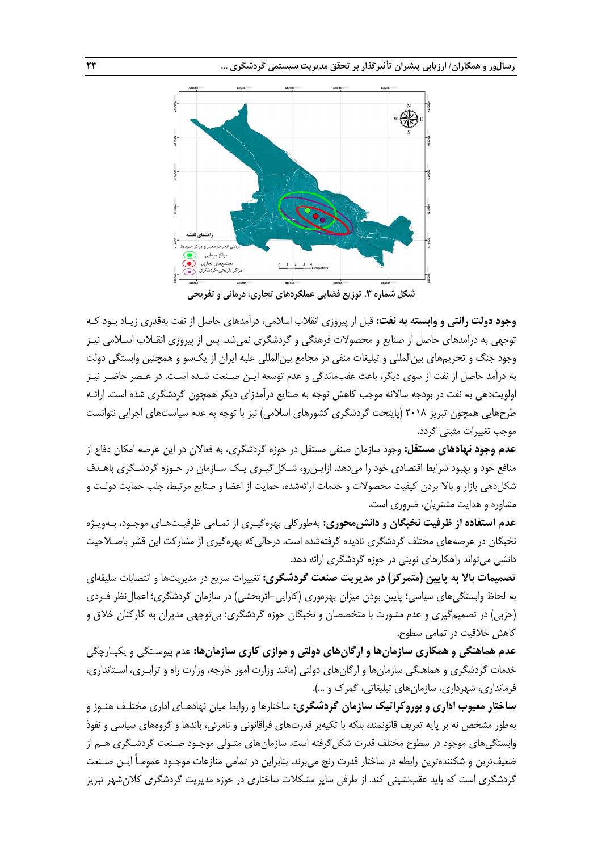

**شكل شماره .3 توزيع فضايي عملكردهاي تجاري، درماني <sup>و</sup> تفريحي**

**وجود دولت رانتي و وابسته به نفت:** قبل از پيروزي انقلاب اسلامي، درآمدهاي حاصل از نفت به قدري زيـاد بـود كـه توجهي به درآمدهاي حاصل از صنايع و محصولات فرهنگي و گردشگري نمي شد. پس از پيروزي انقـلاب اسـلامي نيـز وجود جنگ و تحريمهاي بينالمللي و تبليغات منفي در مجامع بينالمللي عليه ايران از يكسو و همچنين وابستگي دولت به درآمد حاصل از نفت از سوي ديگر، باعث عقب ماندگي و عدم توسعه ايـن صـنعت شـده اسـت. در عـصر حاضـر نيـز اولويتدهي به نفت در بودجه سالانه موجب كاهش توجه به صنايع درآمدزاي ديگر همچون گردشگري شده است. ارائـه طرحهايي همچون تبريز 2018 (پايتخت گردشگري كشورهاي اسلامي) نيز با توجه به عدم سياستهاي اجرايي نتوانست موجب تغييرات مثبتي گردد.

**عدم وجود نهادهاي مستقل:** وجود سازمان صنفي مستقل در حوزه گردشگري، به فعالان در اين عرصه امكان دفاع از منافع خود و بهبود شرايط اقتصادي خود را ميدهد. ازايـنرو، شـكلگيـري يـك سـازمان در حـوزه گردشـگري باهـدف شكلدهي بازار و بالا بردن كيفيت محصولات و خدمات ارائه شده، حمايت از اعضا و صنايع مرتبط، جلب حمايت دولـت و مشاوره و هدايت مشتريان، ضروري است.

**عدم استفاده از ظرفيت نخبگان و دانشمحوري:** بهطوركلي بهرهگيـري از تمـامي ظرفيـتهـاي موجـود، بـهويـژه نخبگان در عرصههاي مختلف گردشگري ناديده گرفتهشده است. درحاليكه بهرهگيري از مشاركت اين قشر باصـلاحيت دانشي ميتواند راهكارهاي نويني در حوزه گردشگري ارائه دهد.

**تصميمات بالا به پايين (متمركز) در مديريت صنعت گردشگري:** تغييرات سريع در مديريتها و انتصابات سليقهاي به لحاظ وابستگيهاي سياسي؛ پايين بودن ميزان بهرهوري (كارايي-اثربخشي) در سازمان گردشگري؛ اعمالنظر فـردي (حزبي) در تصميمگيري و عدم مشورت با متخصصان و نخبگان حوزه گردشگري؛ بيتوجهي مديران به كاركنان خلاق و كاهش خلاقيت در تمامي سطوح.

**عدم هماهنگي و همكاري سازمانها و ارگانهاي دولتي و موازي كاري سازمانها:** عدم پيوسـتگي و يكپـارچگي خدمات گردشگري و هماهنگي سازمانها و ارگانهاي دولتي (مانند وزارت امور خارجه، وزارت راه و ترابـري، اسـتانداري، فرمانداري، شهرداري، سازمانهاي تبليغاتي، گمرك و ...).

**ساختار معيوب اداري و بوروكراتيك سازمان گردشگري:** ساختارها و روابط ميان نهادهـاي اداري مختلـف هنـوز و بهطور مشخص نه بر پايه تعريف قانونمند، بلكه با تكيهبر قدرتهاي فراقانوني و نامرئي، باندها و گروههاي سياسي و نفوذ وابستگيهاي موجود در سطوح مختلف قدرت شكلگرفته است. سازمانهاي متـولي موجـود صـنعت گردشـگري هـم از ضعيفترين و شكنندهترين رابطه در ساختار قدرت رنج ميبرند. بنابراين در تمامي منازعات موجـود عمومـاً ايـن صـنعت گردشگري است كه بايد عقبنشيني كند. از طرفي ساير مشكلات ساختاري در حوزه مديريت گردشگري كلانشهر تبريز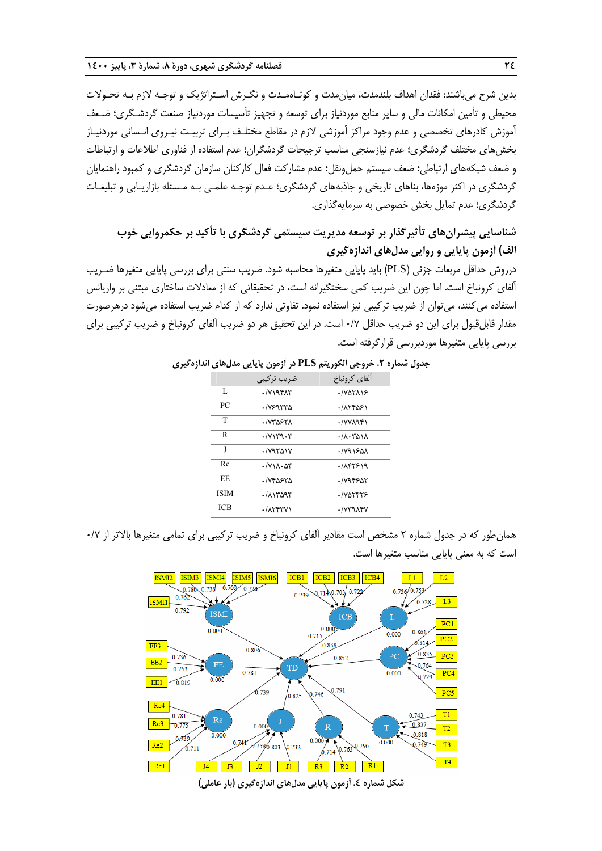بدين شرح ميباشند: فقدان اهداف بلندمدت، ميانمدت و كوتـاهمـدت و نگـرش اسـتراتژيك و توجـه لازم بـه تحـولات محيطي و تأمين امكانات مالي و ساير منابع موردنياز براي توسعه و تجهيز تأسيسات موردنياز صنعت گردشـگري ؛ ضـعف آموزش كادرهاي تخصصي و عدم وجود مراكز آموزشي لازم در مقاطع مختلـف بـراي تربيـت نيـروي انـساني موردنيـاز بخشهاي مختلف گردشگري؛ عدم نيازسنجي مناسب ترجيحات گردشگران؛ عدم استفاده از فناوري اطلاعات و ارتباطات و ضعف شبكههاي ارتباطي؛ ضعف سيستم حمل ونقل؛ عدم مشاركت فعال كاركنان سازمان گردشگري و كمبود راهنمايان گردشگري در اكثر موزهها، بناهاي تاريخي و جاذبههاي گردشگري؛ عـدم توجـه علمـي بـه مـسئله بازاريـابي و تبليغـات گردشگري؛ عدم تمايل بخش خصوصي به سرمايهگذاري.

# **شناسايي پيشرانهاي تأثيرگذار بر توسعه مديريت سيستمي گردشگري با تأكيد بر حكمروايي خوب الف) آزمون پايايي و روايي مدلهاي اندازهگيري**

درروش حداقل مربعات جزئي (PLS (بايد پايايي متغيرها محاسبه شود. ضريب سنتي براي بررسي پايايي متغيرها ضـريب آلفاي كرونباخ است. اما چون اين ضريب كمي سختگيرانه است، در تحقيقاتي كه از معادلات ساختار ي مبتني بر واريانس استفاده ميكنند، ميتوان از ضريب تركيبي نيز استفاده نمود. تفاوتي ندارد كه از كدام ضريب استفاده ميشود درهرصورت مقدار قابلقبول براي اين دو ضريب حداقل 0/7 است. در اين تحقيق هر دو ضريب آلفاي كرونباخ و ضريب تركيبي براي بررسي پايايي متغيرها موردبررسي قرارگرفته است.

|             | ضريب تركيبي                           | آلفاي كرونباخ                    |
|-------------|---------------------------------------|----------------------------------|
| L           | $\cdot$ / $V$ ) 9 $V$                 | -/VATAJE                         |
| PC          | ./VERTTA                              | ۰/۸۲۴۵۶۱                         |
| T           | ./V۳۵۶۲۸                              | ./YYA9F1                         |
| R           | $\cdot$ / $V$ $\uparrow$ ۳۹ $\cdot$ ۳ | $\cdot$ / $\Lambda$ $\cdot$ ۳۵۱۸ |
| J           | $\cdot$ / $Y$ 9501Y                   | ٠/٧٩١۶٥٨                         |
| Re          | $\cdot$ / $V \Lambda \cdot \Delta f$  | .785919                          |
| <b>EE</b>   | ۲۵۶۲۵۰۰ .                             | ٠/٧٩۴۶٥٢                         |
| <b>ISIM</b> | ۰/۸۱۳۵۹۴                              | · NATTTE                         |
| <b>ICB</b>  | $\cdot$ / $\Lambda$ ۲۴۳ $\gamma$      | ./VT91FV                         |
|             |                                       |                                  |

**جدول شماره .2 خروجي الگوريتم PLS در آزمون پايايي مدلهاي اندازهگيري** 

همانطور كه در جدول شماره 2 مشخص است مقادير آلفاي كرونباخ و ضريب تركيبي براي تمامي متغيرها بالاتر از 0/7 است كه به معني پايايي مناسب متغيرها است.

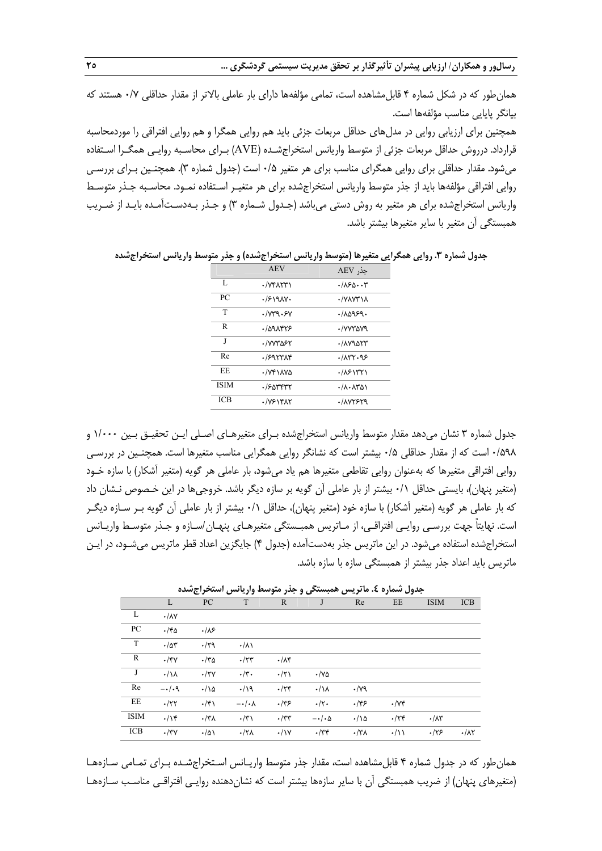**رسالور و همكاران/ ارزيابي پيشران تأثيرگذار بر تحقق مديريت سيستمي گردشگري ... 25** 

همان طور كه در شكل شماره ۴ قابل مشاهده است، تمامي مؤلفهها داراي بار عاملي بالاتر از مقدار حداقلي ٧/٠ هستند كه بيانگر پايايي مناسب مؤلفهها است.

همچنين براي ارزيابي روايي در مدلهاي حداقل مربعات جزئي بايد هم روايي همگرا و هم روايي افتراقي را موردمحاسبه قرارداد. درروش حداقل مربعات جزئي از متوسط واريانس استخراجشـده (AVE (بـراي محاسـبه روايـي همگـرا اسـتفاده ميشود. مقدار حداقلي براي روايي همگراي مناسب براي هر متغير 0/5 است (جدول شماره 3). همچنـين بـراي بررسـي روايي افتراقي مؤلفهها بايد از جذر متوسط واريانس استخراجشده براي هر متغيـر اسـتفاده نمـود. محاسـبه جـذر متوسـط واريانس استخراجشده براي هر متغير به روش دستي ميباشد (جـدول شـماره 3) و جـذر بـهدسـتآمـده بايـد از ضـريب همبستگي آن متغير با ساير متغيرها بيشتر باشد.

**جدول شماره .3 روايي همگرايي متغيرها (متوسط واريانس استخراجشده) و جذر متوسط واريانس استخراجشده** 

|             | <b>AEV</b>                | حذر AEV                                   |
|-------------|---------------------------|-------------------------------------------|
| L           | $\cdot$ / $Vf\Lambda Yf'$ | ۰/۸۶۵۰۰۳                                  |
| PC          | .7519AY                   | ·/VAV۳IA                                  |
| T           | .1049.5V                  | .70999.                                   |
| R           | $.109$ $AT5$              | ./vvrova                                  |
| J           | ·/VYTAFY                  | ./1V9554                                  |
| Re          | .9957A                    | .777.95                                   |
| <b>EE</b>   | $\cdot$ / $V$ ۴۱۸۷۵       | $\cdot$ / $\lambda$ ۶۱۳۲۱                 |
| <b>ISIM</b> | ٠١۶٥٣۴٣٢                  | $\cdot$ / $\Lambda$ $\cdot$ $\Lambda$ ۳۵۱ |
| <b>ICB</b>  | $\cdot$ /YSIFAT           | ./avrsr9                                  |

جدول شماره 3 نشان ميدهد مقدار متوسط واريانس استخراجشده بـراي متغيرهـاي اصـلي ايـن تحقيـق بـين 1/000 و 0/598 است كه از مقدار حداقلي 0/5 بيشتر است كه نشانگر روايي همگرايي مناسب متغيرها است. همچنـين در بررسـي روايي افتراقي متغيرها كه بهعنوان روايي تقاطعي متغيرها هم ياد ميشود، بار عاملي هر گويه (متغير آشكار) با سازه خـود (متغير پنهان)، بايستي حداقل 0/1 بيشتر از بار عاملي آن گويه بر سازه ديگر باشد . خروجيها در اين خـصوص نـشان داد كه بار عاملي هر گويه (متغير آشكار) با سازه خود (متغير پنهان)، حداقل 0/1 بيشتر از بار عاملي آن گويه بـر سـازه ديگـر است. نهايتاً جهت بررسـي روايـي افتراقـي، از مـاتريس همبـستگي متغيرهـاي پنهـان /سـازه و جـذر متوسـط واريـانس استخراجشده استفاده ميشود. در اين ماتريس جذر بهدستآمده (جدول 4) جايگزين اعداد قطر ماتريس ميشـود، در ايـن ماتريس بايد اعداد جذر بيشتر از همبستگي سازه با سازه باشد.

| جدون ستدره ٤. تد تريس مستنصى و جدر متوسف واريابس استخراج شده |                         |                   |                        |                   |                       |                 |                    |                     |                     |
|--------------------------------------------------------------|-------------------------|-------------------|------------------------|-------------------|-----------------------|-----------------|--------------------|---------------------|---------------------|
|                                                              | L                       | PC                | T                      | $\mathbb{R}$      | J                     | Re              | EE                 | <b>ISIM</b>         | <b>ICB</b>          |
| L                                                            | $\cdot/\lambda\Upsilon$ |                   |                        |                   |                       |                 |                    |                     |                     |
| PC                                                           | $\cdot$ /۴۵             | .18               |                        |                   |                       |                 |                    |                     |                     |
| T                                                            | $\cdot/\Delta r$        | .79               | $\cdot/\lambda$        |                   |                       |                 |                    |                     |                     |
| R                                                            | $\cdot$ /۴۷             | $\cdot$ /٣۵       | $\cdot$ /٢٣            | $\cdot/\lambda$ ۴ |                       |                 |                    |                     |                     |
| J                                                            | $\cdot/\lambda$         | $\cdot$ /۲ $\vee$ | $\cdot/\mathbf{r}$ .   | $\cdot/\tau$      | $\cdot$ /YA           |                 |                    |                     |                     |
| Re                                                           | $-\cdot/\cdot$ 9        | $\cdot/\lambda$   | .19                    | $\cdot$ /٢۴       | $\cdot/\lambda$       | $\cdot$ /yq     |                    |                     |                     |
| EE                                                           | .77                     | $\cdot$ /۴)       | $-\cdot/\cdot \lambda$ | .775              | $\cdot/\tau$ .        | .155            | $\cdot$ / $\vee$ ۴ |                     |                     |
| <b>ISIM</b>                                                  | $\cdot/\$               | $\cdot$ /٣٨       | $\cdot/\tau$           | $\cdot$ /٣٣       | $-\cdot/\cdot \Delta$ | $\cdot/\lambda$ | $\cdot$ /٢۴        | $\cdot/\lambda\tau$ |                     |
| ICB                                                          | $\cdot$ /۳ $\vee$       | $\cdot/\Delta$    | $\cdot$ /٢٨            | $\cdot/\gamma$    | $\cdot$ /٣۴           | $\cdot$ /۳۸     | $\cdot/\wedge$     | .175                | $\cdot/\lambda\tau$ |

**جدول شماره .4 ماتريس همبستگي و جذر متوسط واريانس استخراجشده** 

همانطور كه در جدول شماره 4 قابلمشاهده است، مقدار جذر متوسط واريـانس اسـتخراجشـده بـراي تمـامي سـازههـا (متغيرهاي پنهان) از ضريب همبستگي آن با ساير سازهها بيشتر است كه نشاندهنده روايـي افتراقـي مناسـب سـازههـا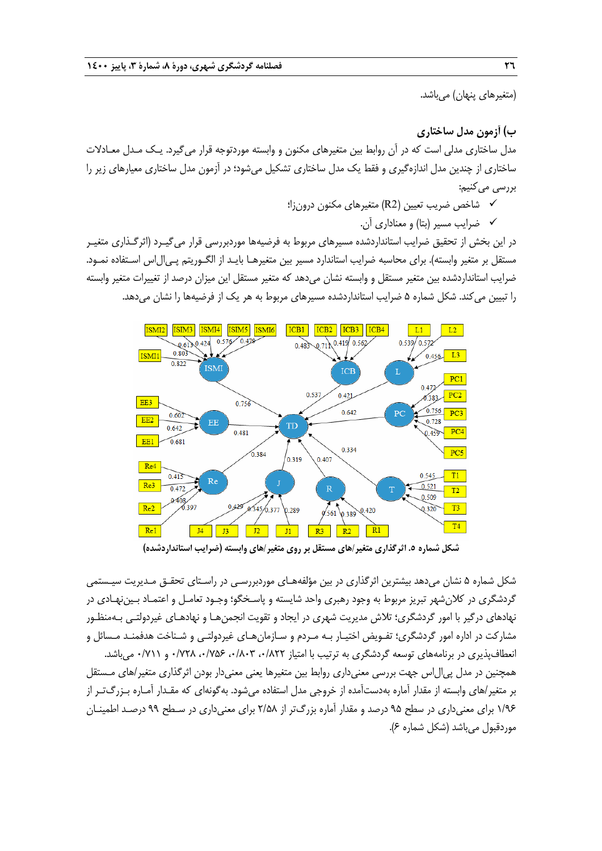(متغيرها*ي* پنهان) ميباشد.

**ب) آزمون مدل ساختاري** 

مدل ساختاري مدلي است كه در آن روابط بين متغيرهاي مكنون و وابسته موردتوجه قرار ميگيرد. يـك مـدل معـادلات ساختاري از چندين مدل اندازهگيري و فقط يك مدل ساختاري تشكيل ميشود؛ در آزمون مدل ساختاري معيارهاي زير را بررسي مي كنيم:

> نشاخص ضريب تعيين (R2) متغيرهاي مكنون درونزا؛  $\checkmark$ ضرايب مسير (بتا) و معناداري آن.

در اين بخش از تحقيق ضرايب استانداردشده مسيرهاي مربوط به فرضيهها موردبررسي قرار ميگيـرد (اثرگـذاري متغيـر مستقل بر متغير وابسته). براي محاسبه ضرايب استاندارد مسير بين متغيرهـا بايـد از الگـوريتم پـيالاس اسـتفاده نمـود. ضرايب استانداردشده بين متغير مستقل و وابسته نشان ميدهد كه متغير مستقل اين ميزان درصد از تغييرات متغير وابسته را تبيين ميكند. شكل شماره 5 ضرايب استانداردشده مسيرهاي مربوط به هر يك از فرضيهها را نشان ميدهد.



**شكل شماره .5 اثرگذاري متغير/هاي مستقل بر روي متغير/هاي وابسته (ضرايب استانداردشده)** 

شكل شماره 5 نشان ميدهد بيشترين اثرگذاري در بين مؤلفههـاي موردبررسـي در راسـتاي تحقـق مـديريت سيـستمي گردشگري در كلانشهر تبريز مربوط به وجود رهبري واحد شايسته و پاسـخگو؛ وجـود تعامـل و اعتمـاد بـ يننهـادي در نهادهاي درگير با امور گردشگري؛ تلاش مديريت شهري در ايجاد و تقويت انجمنهـا و نهادهـاي غيردولتـي بـهمنظـور مشاركت در اداره امور گردشگري؛ تفـويض اختيـار بـه مـردم و سـازمانهـاي غيردولتـي و شـناخت هدفمنـد مـسائل و انعطافپذيري در برنامههاي توسعه گردشگري به ترتيب با امتياز ۰/۸۲۲، ۰/۸۲۳ ، ۰/۷۲۸ و ۰/۷۱۱ مي باشد. همچنين در مدل پيالاس جهت بررسي معنيداري روابط بين متغيرها يعني معنيدار بودن اثرگذاري متغير/هاي مـستقل بر متغير/هاي وابسته از مقدار آماره بهدستآمده از خروجي مدل استفاده ميشود. بهگونهاي كه مقـدار آمـاره بـزرگتـر از 1/96 براي معنيداري در سطح 95 درصد و مقدار آماره بزرگتر از 2/58 براي معنيداري در سـطح 99 درصـد اطمينـان موردقبول ميباشد (شكل شماره 6).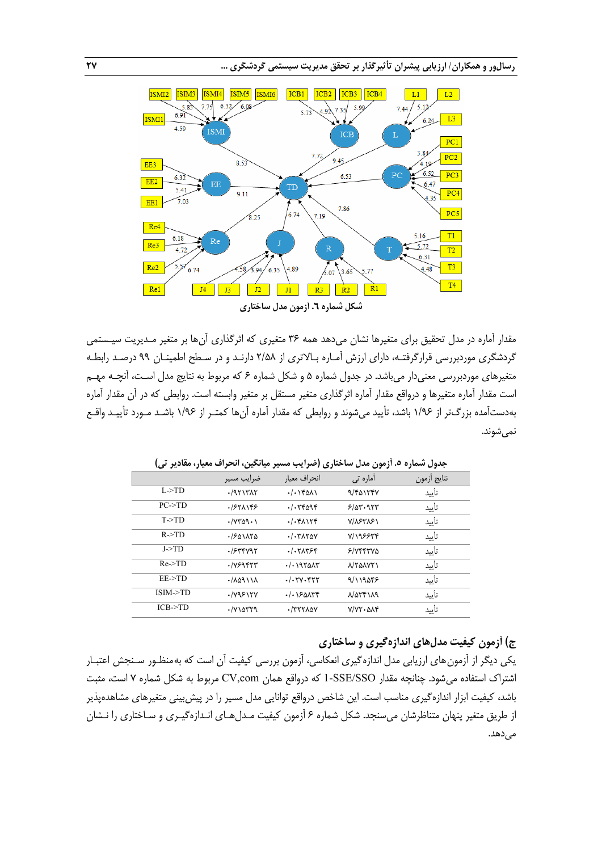

مقدار آماره در مدل تحقيق براي متغيرها نشان ميدهد همه 36 متغيري كه اثرگذاري آنها بر متغير مـديريت سيـستمي گردشگري موردبررسي قرارگرفتـه، داراي ارزش آمـاره بـالاتري از 2/58 دارنـد و در سـطح اطمينـان 99 درصـد رابطـه متغيرهاي موردبررسي معنيدار ميباشد. در جدول شماره 5 و شكل شماره 6 كه مربوط به نتايج مدل اسـت، آنچـه مهـم است مقدار آماره متغيرها و درواقع مقدار آماره اثرگذاري متغير مستقل بر متغير وابسته است . روابطي كه در آن مقدار آماره بهدستآمده بزرگتر از 1/96 باشد، تأييد ميشوند و روابطي كه مقدار آماره آنها كمتـر از 1/96 باشـد مـورد تأييـد واقـع نميشوند.

|                    | ضرايب مسير                           | انحراف معيار                   | أماره تي                                        | نتايج أزمون |
|--------------------|--------------------------------------|--------------------------------|-------------------------------------------------|-------------|
| L > TD             | $-19717AT$                           | $-(\cdot \text{1401})$         | 9/401747                                        | تأييد       |
| $PC\rightarrow TD$ | $.757$ $N$                           | $.$ $\gamma$ $\gamma$ $\gamma$ | 5/25.957                                        | تأييد       |
| T > TD             | $\cdot$ / $\gamma$ ۳۵۹ $\cdot$ )     | $. / . f \Lambda$              | <b>VIASTAS1</b>                                 | تأييد       |
| R > TD             | $\cdot$ / $501170$                   | . / . TAY                      | <b>V/198844</b>                                 | تأييد       |
| J > TD             | $.$ / $5$ ۳۴ $097$                   | $. / . Y \wedge Y$             | 5/77770                                         | تأييد       |
| Re > TD            | $\cdot$ / $Y$ ۶۹۴۲۳                  | . / . 1970AT                   | <b>NYANYY</b>                                   | تأييد       |
| $EE\rightarrow TD$ | $\cdot$ / $\Lambda$ aq \ \ $\Lambda$ | $./-$ ۲۷۰۴۲۲                   | 9/119055                                        | تأييد       |
| ISIM>TD            | .1Y951YV                             | $-(.150$                       | $\lambda/\Delta \Upsilon f \setminus \lambda q$ | تأىد        |
| $ICB-TD$           | .7730779                             | $\cdot$ /٣٢٢٨٥٧                | $V/VY \cdot \Delta \Lambda f$                   | تأىد        |

**جدول شماره .5 آزمون مدل ساختاري (ضرايب مسير ميانگين، انحراف معيار، مقادير تي)** 

## **ج) آزمون كيفيت مدلهاي اندازهگيري و ساختاري**

يكي ديگر از آزمونهاي ارزيابي مدل اندازهگيري انعكاسي، آزمون بررسي كيفيت آن است كه بهمنظـور سـنجش اعتبـار اشتراك استفاده ميشود. چنانچه مقدار SSO/SSE1- كه درواقع همان com,CV مربوط به شكل شماره 7 است، مثبت باشد، كيفيت ابزار اندازهگيري مناسب است. اين شاخص درواقع توانايي مدل مسير را در پيشبيني متغيرهاي مشاهدهپذير از طريق متغير پنهان متناظرشان ميسنجد. شكل شماره 6 آزمون كيفيت مـدلهـاي انـدازهگيـري و سـاختاري را نـشان مے ,دھد.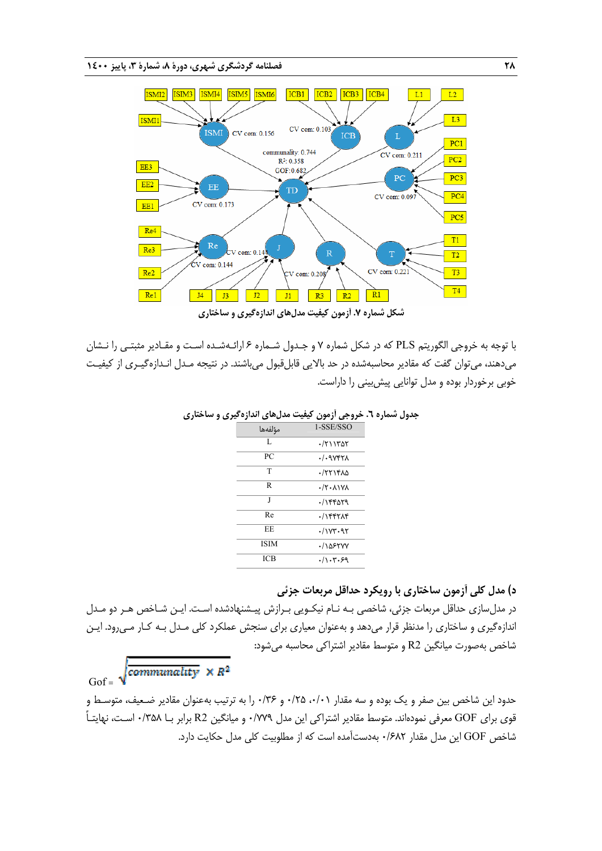

با توجه به خروجي الگوريتم PLS كه در شكل شماره 7 و جـدول شـماره 6 ارائـهشـده اسـت و مقـادير مثبتـي را نـشان ميدهند، ميتوان گفت كه مقادير محاسبهشده در حد بالايي قابلقبول ميباشند. در نتيجه مـدل انـدازهگيـري از كيفيـت خوبي برخوردار بوده و مدل توانايي پيشبيني را داراست.

| .           | -----                                       |
|-------------|---------------------------------------------|
| مؤلفهها     | 1-SSE/SSO                                   |
| L           | (711707                                     |
| PC          | $./-9$ V۴۲۸                                 |
| T           | 177140                                      |
| R           | $\cdot$ /۲ $\cdot$ $\wedge$ $\vee$ $\wedge$ |
| J           | ۰/۱۴۴۵۲۹                                    |
| Re          |                                             |
| <b>EE</b>   | .11YY.9Y                                    |
| <b>ISIM</b> | .10550V                                     |
| ICB         | .7.7.7                                      |
|             |                                             |

#### **جدول شماره .6 خروجي آزمون كيفيت مدلهاي اندازهگيري و ساختاري**

## **د) مدل كلي آزمون ساختاري با رويكرد حداقل مربعات جزئي**

در مدلسازي حداقل مربعات جزئي، شاخصي بـه نـام نيكـويي بـرازش پيـشنهادشده اسـت. ايـن شـاخص هـر دو مـدل اندازهگيري و ساختاري را مدنظر قرار ميدهد و بهعنوان معياري براي سنجش عملكرد كلي مـدل بـه كـار مـيرود. ايـن شاخص بهصورت ميانگين 2R و متوسط مقادير اشتراكي محاسبه ميشود:

Gof =  $\sqrt{commutivity} \times R^2$ 

حدود اين شاخص بين صفر و يك بوده و سه مقدار ،0/01 0/25 و 0/36 را به ترتيب بهعنوان مقادير ضـعيف، متوسـط و قوي براي GOF معرفي نمودهاند. متوسط مقادير اشتراكي اين مدل 0/779 و ميانگين 2R برابر بـا 0/358 اسـت، نهايتـاً شاخص GOF اين مدل مقدار 0/682 بهدستآمده است كه از مطلوبيت كلي مدل حكايت دارد.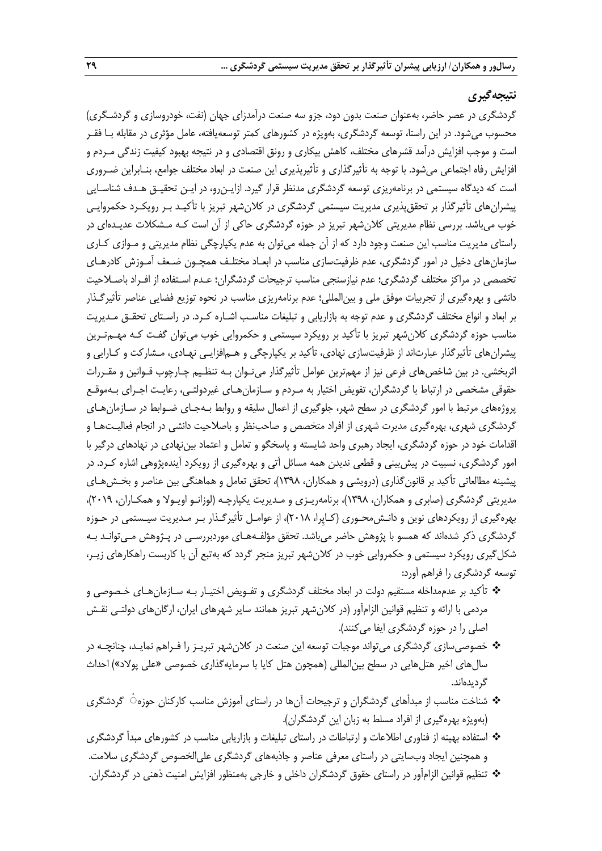## **نتيجهگيري**

گردشگري در عصر حاضر، بهعنوان صنعت بدون دود، جزو سه صنعت درآمدزاي جهان (نفت، خودروسازي و گردشـگري) محسوب ميشود. در اين راستا، توسعه گردشگري، بهويژه در كشورهاي كمتر توسعهيافته، عامل مؤثري در مقابله بـا فقـر است و موجب افزايش درآمد قشرهاي مختلف، كاهش بيكاري و رونق اقتصادي و در نتيجه بهبود كيفيت زندگي مـردم و افزايش رفاه اجتماعي ميشود. با توجه به تأثيرگذاري و تأثيرپذيري اين صنعت در ابعاد مختلف جوامع، بنـابراين ضـروري است كه ديدگاه سيستمي در برنامهريزي توسعه گردشگري مدنظر قرار گيرد. ازايـنرو، در ايـن تحقيـق هـدف شناسـايي پيشرانهاي تأثيرگذار بر تحققپذيري مديريت سيستمي گردشگري در كلانشهر تبريز با تأكيـد بـر رويكـرد حكمروايـي خوب ميباشد. بررسي نظام مديريتي كلانشهر تبريز در حوزه گردشگري حاكي از آن است كـه مـشكلات عديـده اي در راستاي مديريت مناسب اين صنعت وجود دارد كه از آن جمله مي توان به عدم يكپارچگي نظام مديريتي و مـوازي كـاري سازمانهاي دخيل در امور گردشگري، عدم ظرفيتسازي مناسب در ابعـاد مختلـف همچـون ضـعف آمـوزش كادرهـاي تخصصي در مراكز مختلف گردشگري؛ عدم نيازسنجي مناسب ترجيحات گردشگران؛ عـدم اسـتفاده از افـراد باصـلاحيت دانشي و بهرهگيري از تجربيات موفق ملي و بينالمللي؛ عدم برنامهريزي مناسب در نحوه توزيع فضايي عناصر تأثيرگـذار بر ابعاد و انواع مختلف گردشگري و عدم توجه به بازاريابي و تبليغات مناسـب اشـاره كـرد . در راسـتاي تحقـق مـديريت مناسب حوزه گردشگري كلانشهر تبريز با تأكيد بر رويكرد سيستمي و حكمروايي خوب مي توان گفـت كـه مهـمتـرين پيشرانهاي تأثيرگذار عبارتاند از ظرفيتسازي نهادي، تأكيد بر يكپارچگي و هـمافزايـي نهـادي، مـشاركت و كـارايي و اثربخشي. در بين شاخصهاي فرعي نيز از مهمترين عوامل تأثيرگذار ميتـوان بـه تنظـيم چـارچوب قـوانين و مقـررات حقوقي مشخصي در ارتباط با گردشگران، تفويض اختيار به مـردم و سـازمانهـاي غيردولتـي، رعايـت اجـراي بـهموقـع پروژههاي مرتبط با امور گردشگري در سطح شهر، جلوگيري از اعمال سليقه و روابط بـهجـاي ضـوابط در سـازمانهـاي گردشگري شهري، بهرهگيري مديرت شهري از افراد متخصص و صاحبنظر و باصلاحيت دانشي در انجام فعاليـتهـا و اقدامات خود در حوزه گردشگري، ايجاد رهبري واحد شايسته و پاسخگو و تعامل و اعتماد بيننهادي در نهادهاي درگير با امور گردشگري، نسبيت در پيشبيني و قطعي نديدن همه مسائل آتي و بهرهگيري از رويكرد آيندهپژوهي اشاره كـرد. در پيشينه مطالعاتي تأكيد بر قانونگذاري (درويشي و همكاران، 1398)، تحقق تعامل و هماهنگي بين عناصر و بخـشهـاي مديريتي گردشگري (صابري و همكاران، 1398)، برنامهريـزي و مـديريت يكپارچـه (لوزانـو اويـولا و همكـاران، 2019)، بهرهگيري از رويكردهاي نوين و دانـشمحـوري (كـاپِرا، 2018)، از عوامـل تأثيرگـذار بـر مـديريت سيـستمي در حـوزه گردشگري ذكر شدهاند كه همسو با پژوهش حاضر ميباشد. تحقق مؤلفـههـاي موردبررسـي در پـژوهش مـيتوانـد بـه شكلگيري رويكرد سيستمي و حكمروايي خوب در كلانشهر تبريز منجر گردد كه بهتبع آن با كاربست راهكارهاي زيـر، توسعه گردشگري را فراهم آورد:

- تأكيد بر عدممداخله مستقيم دولت در ابعاد مختلف گردشگري و تفـويض اختيـار بـه سـازمان هـاي خـصوصي و مردمي با ارائه و تنظيم قوانين الزامآور (در كلانشهر تبريز همانند ساير شهرهاي ايران، ارگانهاي دولتـي نقـش اصلي را در حوزه گردشگري ايفا ميكنند).
- خصوصيسازي گردشگري ميتواند موجبات توسعه اين صنعت در كلانشهر تبريـز را فـراهم نمايـد، چنانچـه در سالهاي اخير هتلهايي در سطح بينالمللي (همچون هتل كايا با سرمايهگذاري خصوصي «علي پولاد») احداث گرديدهاند.
- شناخت مناسب از مبدأهاي گردشگران و ترجيحات آنها در راستاي آموزش مناسب كاركنان حوزه ٔ◌ گردشگري (بهويژه بهرهگيري از افراد مسلط به زبان اين گردشگران).
- استفاده بهينه از فناوري اطلاعات و ارتباطات در راستاي تبليغات و بازاريابي مناسب در كشورهاي مبدأ گردشگري و همچنين ايجاد وبسايتي در راستاي معرفي عناصر و جاذبههاي گردشگري عليالخصوص گردشگري سلامت.
- تنظيم قوانين الزامآور در راستاي حقوق گردشگران داخلي و خارجي بهمنظور افزايش امنيت ذهني در گردشگران.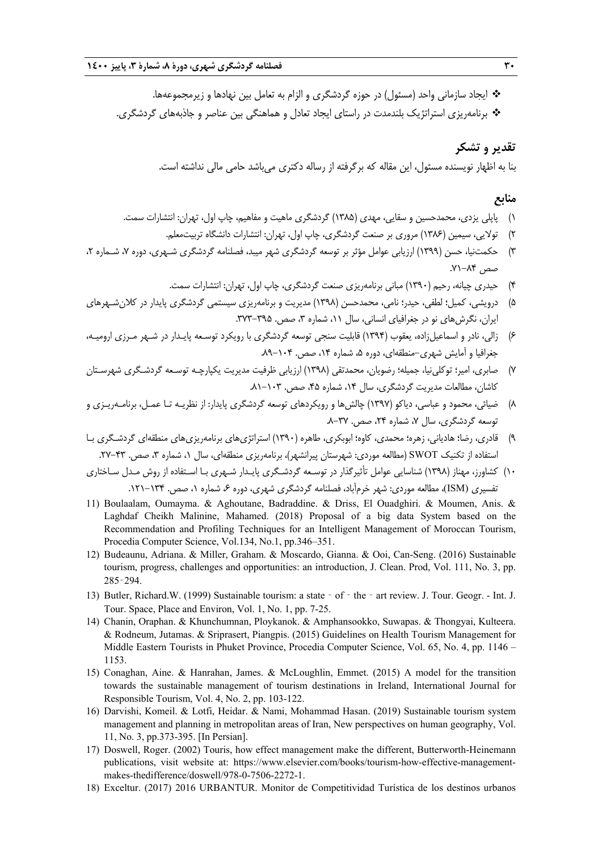- ايجاد سازماني واحد (مسئول) در حوزه گردشگري و الزام به تعامل بين نهادها و زيرمجموعهها.
- برنامهريزي استراتژيك بلندمدت در راستاي ايجاد تعادل و هماهنگي بين عناصر و جاذبههاي گردشگري.

## **تقدير و تشكر**

بنا به اظهار نويسنده مسئول، اين مقاله كه برگرفته از رساله دكتري ميباشد حامي مالي نداشته است.

## **منابع**

- 1) پاپلي يزدي، محمدحسين و سقايي، مهدي (1385) گردشگري ماهيت و مفاهيم، چاپ اول، تهران: انتشارات سمت.
	- 2) تولايي، سيمين (1386) مروري بر صنعت گردشگري، چاپ اول، تهران: انتشارات دانشگاه تربيتمعلم.
- 3) حكمتنيا، حسن (1399) ارزيابي عوامل مؤثر بر توسعه گردشگري شهر ميبد، فصلنامه گردشگري شـهري، دوره ،7 شـماره ،2 صص .71-84
	- 4) حيدري چيانه، رحيم (1390) مباني برنامهريزي صنعت گردشگري، چاپ اول، تهران: انتشارات سمت.
- 5) درويشي، كميل؛ لطفي، حيدر؛ نامي، محمدحسن (1398) مديريت و برنامهريزي سيستمي گردشگري پايدار در كلانشـهرهاي ايران، نگرش هاي نو در جغرافياي انساني، سال ١١، شماره ٣، صص. ٣٥٥-٣٧٣.
- 6) زالي، نادر و اسماعيلزاده، يعقوب (1394) قابليت سنجي توسعه گردشگري با رويكرد توسـعه پايـدار در شـهر مـرزي اروميـه، جغرافيا و آمايش شهري-منطقهاي، دوره ۵، شماره ۱۴، صص. ۲۰۴-۸۹.
- 7) صابري، امير؛ توكلينيا، جميله؛ رضويان، محمدتقي (1398) ارزيابي ظرفيت مديريت يكپارچـه توسـعه گردشـگري شهرسـتان كاشان، مطالعات مديريت گردشگري، سال ١٤، شماره ۴۵، صص. ١٠٣-٨١.
- 8) ضيائي، محمود و عباسي، دياكو (1397) چالشها و رويكردهاي توسعه گردشگري پايدار: از نظريـه تـا عمـل، برنامـهريـزي و توسعه گردشگري، سال ۷، شماره ۲۴، صص. ۳۷-۸.
- 9) قادري، رضا؛ هادياني، زهره؛ محمدي، كاوه؛ ابوبكري، طاهره (1390) استراتژيهاي برنامهريزيهاي منطقهاي گردشـگري بـا استفاده از تكنيك SWOT (مطالعه موردي: شهرستان پيرانشهر)، برنامهريزي منطقهاي، سال ۱، شماره ۳، صص. ۴۳-۲۷.
- 10) كشاورز، مهناز (1398) شناسايي عوامل تأثيرگذار در توسـعه گردشـگري پايـدار شـهري بـا اسـتفاده از روش مـدل سـاختاري تفسيري (ISM)، مطالعه موردي: شهر خرمآباد، فصلنامه گردشگري شهري، دوره ۶، شماره ۰، صص. ۱۳۴–۱۲۱.
- 11) Boulaalam, Oumayma. & Aghoutane, Badraddine. & Driss, El Ouadghiri. & Moumen, Anis. & Laghdaf Cheikh Malinine, Mahamed. (2018) Proposal of a big data System based on the Recommendation and Profiling Techniques for an Intelligent Management of Moroccan Tourism, Procedia Computer Science, Vol.134, No.1, pp.346–351.
- 12) Budeaunu, Adriana. & Miller, Graham. & Moscardo, Gianna. & Ooi, Can-Seng. (2016) Sustainable tourism, progress, challenges and opportunities: an introduction, J. Clean. Prod, Vol. 111, No. 3, pp. 285–294.
- 13) Butler, Richard.W. (1999) Sustainable tourism: a state  $-$  of  $-$  the  $-$  art review. J. Tour. Geogr. Int. J. Tour. Space, Place and Environ, Vol. 1, No. 1, pp. 7-25.
- 14) Chanin, Oraphan. & Khunchumnan, Ploykanok. & Amphansookko, Suwapas. & Thongyai, Kulteera. & Rodneum, Jutamas. & Sriprasert, Piangpis. (2015) Guidelines on Health Tourism Management for Middle Eastern Tourists in Phuket Province, Procedia Computer Science, Vol. 65, No. 4, pp. 1146 – 1153.
- 15) Conaghan, Aine. & Hanrahan, James. & McLoughlin, Emmet. (2015) A model for the transition towards the sustainable management of tourism destinations in Ireland, International Journal for Responsible Tourism, Vol. 4, No. 2, pp. 103-122.
- 16) Darvishi, Komeil. & Lotfi, Heidar. & Nami, Mohammad Hasan. (2019) Sustainable tourism system management and planning in metropolitan areas of Iran, New perspectives on human geography, Vol. 11, No. 3, pp.373-395. [In Persian].
- 17) Doswell, Roger. (2002) Touris, how effect management make the different, Butterworth-Heinemann publications, visit website at: https://www.elsevier.com/books/tourism-how-effective-managementmakes-thedifference/doswell/978-0-7506-2272-1.
- 18) Exceltur. (2017) 2016 URBANTUR. Monitor de Competitividad Turística de los destinos urbanos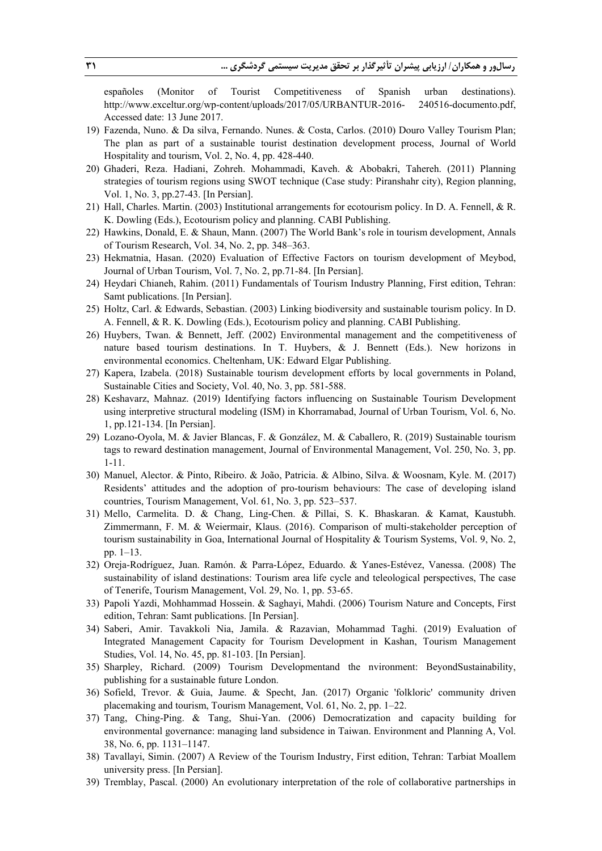españoles (Monitor of Tourist Competitiveness of Spanish urban destinations). http://www.exceltur.org/wp-content/uploads/2017/05/URBANTUR-2016- 240516-documento.pdf, Accessed date: 13 June 2017.

- 19) Fazenda, Nuno. & Da silva, Fernando. Nunes. & Costa, Carlos. (2010) Douro Valley Tourism Plan; The plan as part of a sustainable tourist destination development process, Journal of World Hospitality and tourism, Vol. 2, No. 4, pp. 428-440.
- 20) Ghaderi, Reza. Hadiani, Zohreh. Mohammadi, Kaveh. & Abobakri, Tahereh. (2011) Planning strategies of tourism regions using SWOT technique (Case study: Piranshahr city), Region planning, Vol. 1, No. 3, pp.27-43. [In Persian].
- 21) Hall, Charles. Martin. (2003) Institutional arrangements for ecotourism policy. In D. A. Fennell, & R. K. Dowling (Eds.), Ecotourism policy and planning. CABI Publishing.
- 22) Hawkins, Donald, E. & Shaun, Mann. (2007) The World Bank's role in tourism development, Annals of Tourism Research, Vol. 34, No. 2, pp. 348–363.
- 23) Hekmatnia, Hasan. (2020) Evaluation of Effective Factors on tourism development of Meybod, Journal of Urban Tourism, Vol. 7, No. 2, pp.71-84. [In Persian].
- 24) Heydari Chianeh, Rahim. (2011) Fundamentals of Tourism Industry Planning, First edition, Tehran: Samt publications. [In Persian].
- 25) Holtz, Carl. & Edwards, Sebastian. (2003) Linking biodiversity and sustainable tourism policy. In D. A. Fennell, & R. K. Dowling (Eds.), Ecotourism policy and planning. CABI Publishing.
- 26) Huybers, Twan. & Bennett, Jeff. (2002) Environmental management and the competitiveness of nature based tourism destinations. In T. Huybers, & J. Bennett (Eds.). New horizons in environmental economics. Cheltenham, UK: Edward Elgar Publishing.
- 27) Kapera, Izabela. (2018) Sustainable tourism development efforts by local governments in Poland, Sustainable Cities and Society, Vol. 40, No. 3, pp. 581-588.
- 28) Keshavarz, Mahnaz. (2019) Identifying factors influencing on Sustainable Tourism Development using interpretive structural modeling (ISM) in Khorramabad, Journal of Urban Tourism, Vol. 6, No. 1, pp.121-134. [In Persian].
- 29) Lozano-Oyola, M. & Javier Blancas, F. & González, M. & Caballero, R. (2019) Sustainable tourism tags to reward destination management, Journal of Environmental Management, Vol. 250, No. 3, pp. 1-11.
- 30) Manuel, Alector. & Pinto, Ribeiro. & João, Patricia. & Albino, Silva. & Woosnam, Kyle. M. (2017) Residents' attitudes and the adoption of pro-tourism behaviours: The case of developing island countries, Tourism Management, Vol. 61, No. 3, pp. 523–537.
- 31) Mello, Carmelita. D. & Chang, Ling-Chen. & Pillai, S. K. Bhaskaran. & Kamat, Kaustubh. Zimmermann, F. M. & Weiermair, Klaus. (2016). Comparison of multi-stakeholder perception of tourism sustainability in Goa, International Journal of Hospitality & Tourism Systems, Vol. 9, No. 2, pp. 1–13.
- 32) Oreja-Rodríguez, Juan. Ramón. & Parra-López, Eduardo. & Yanes-Estévez, Vanessa. (2008) The sustainability of island destinations: Tourism area life cycle and teleological perspectives, The case of Tenerife, Tourism Management, Vol. 29, No. 1, pp. 53-65.
- 33) Papoli Yazdi, Mohhammad Hossein. & Saghayi, Mahdi. (2006) Tourism Nature and Concepts, First edition, Tehran: Samt publications. [In Persian].
- 34) Saberi, Amir. Tavakkoli Nia, Jamila. & Razavian, Mohammad Taghi. (2019) Evaluation of Integrated Management Capacity for Tourism Development in Kashan, Tourism Management Studies, Vol. 14, No. 45, pp. 81-103. [In Persian].
- 35) Sharpley, Richard. (2009) Tourism Developmentand the nvironment: BeyondSustainability, publishing for a sustainable future London.
- 36) Sofield, Trevor. & Guia, Jaume. & Specht, Jan. (2017) Organic 'folkloric' community driven placemaking and tourism, Tourism Management, Vol. 61, No. 2, pp. 1–22.
- 37) Tang, Ching-Ping. & Tang, Shui-Yan. (2006) Democratization and capacity building for environmental governance: managing land subsidence in Taiwan. Environment and Planning A, Vol. 38, No. 6, pp. 1131–1147.
- 38) Tavallayi, Simin. (2007) A Review of the Tourism Industry, First edition, Tehran: Tarbiat Moallem university press. [In Persian].
- 39) Tremblay, Pascal. (2000) An evolutionary interpretation of the role of collaborative partnerships in